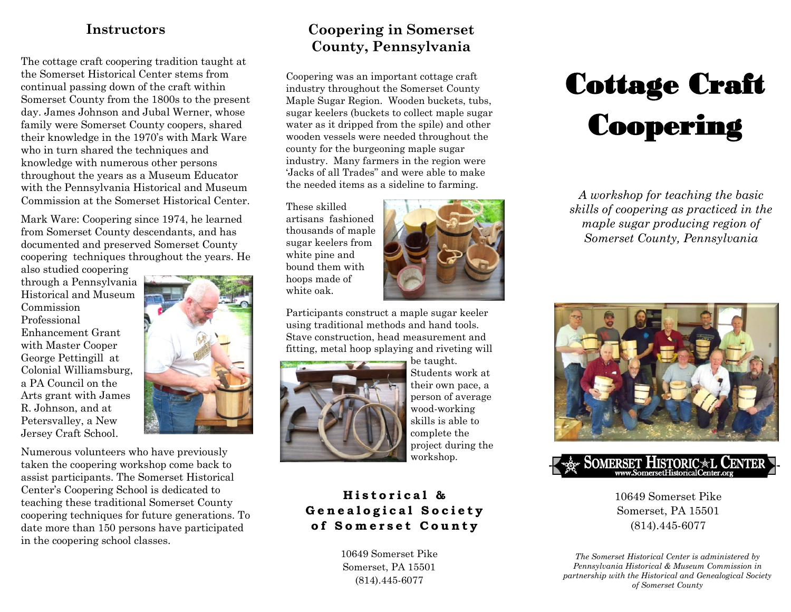## **Instructors**

The cottage craft coopering tradition taught at the Somerset Historical Center stems from continual passing down of the craft within Somerset County from the 1800s to the present day. James Johnson and Jubal Werner, whose family were Somerset County coopers, shared their knowledge in the 1970's with Mark Ware who in turn shared the techniques and knowledge with numerous other persons throughout the years as a Museum Educator with the Pennsylvania Historical and Museum Commission at the Somerset Historical Center.

Mark Ware: Coopering since 1974, he learned from Somerset County descendants, and has documented and preserved Somerset County coopering techniques throughout the years. He

also studied coopering through a Pennsylvania Historical and Museum Commission Professional Enhancement Grant with Master Cooper George Pettingill at Colonial Williamsburg, a PA Council on the Arts grant with James R. Johnson, and at Petersvalley, a New Jersey Craft School.



Numerous volunteers who have previously taken the coopering workshop come back to assist participants. The Somerset Historical Center's Coopering School is dedicated to teaching these traditional Somerset County coopering techniques for future generations. To date more than 150 persons have participated in the coopering school classes.

# **Coopering in Somerset County, Pennsylvania**

Coopering was an important cottage craft industry throughout the Somerset County Maple Sugar Region. Wooden buckets, tubs, sugar keelers (buckets to collect maple sugar water as it dripped from the spile) and other wooden vessels were needed throughout the county for the burgeoning maple sugar industry. Many farmers in the region were 'Jacks of all Trades" and were able to make the needed items as a sideline to farming.

These skilled artisans fashioned thousands of maple sugar keelers from white pine and bound them with hoops made of white oak.



Participants construct a maple sugar keeler using traditional methods and hand tools. Stave construction, head measurement and fitting, metal hoop splaying and riveting will



be taught. Students work at their own pace, a person of average wood-working skills is able to complete the project during the workshop.

## **Historical & Genealogical Society of Somerset County**

10649 Somerset Pike Somerset, PA 15501 (814).445-6077

# Cottage Craft **Coopering**

*A workshop for teaching the basic skills of coopering as practiced in the maple sugar producing region of Somerset County, Pennsylvania* 





10649 Somerset Pike Somerset, PA 15501 (814).445-6077

*The Somerset Historical Center is administered by Pennsylvania Historical & Museum Commission in partnership with the Historical and Genealogical Society of Somerset County*